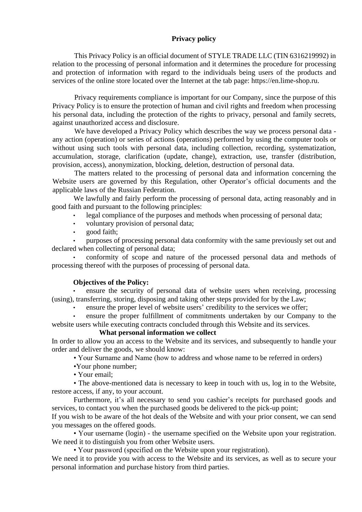# **Privacy policy**

This Privacy Policy is an official document of STYLE TRADE LLC (TIN 6316219992) in relation to the processing of personal information and it determines the procedure for processing and protection of information with regard to the individuals being users of the products and services of the online store located over the Internet at the tab page: https://en[.lime-shop.ru.](http://www.lime-shop.ru/)

Privacy requirements compliance is important for our Company, since the purpose of this Privacy Policy is to ensure the protection of human and civil rights and freedom when processing his personal data, including the protection of the rights to privacy, personal and family secrets, against unauthorized access and disclosure.

We have developed a Privacy Policy which describes the way we process personal data any action (operation) or series of actions (operations) performed by using the computer tools or without using such tools with personal data, including collection, recording, systematization, accumulation, storage, clarification (update, change), extraction, use, transfer (distribution, provision, access), anonymization, blocking, deletion, destruction of personal data.

The matters related to the processing of personal data and information concerning the Website users are governed by this Regulation, other Operator's official documents and the applicable laws of the Russian Federation.

We lawfully and fairly perform the processing of personal data, acting reasonably and in good faith and pursuant to the following principles:

- legal compliance of the purposes and methods when processing of personal data;
- voluntary provision of personal data;
- good faith;

• purposes of processing personal data conformity with the same previously set out and declared when collecting of personal data;

• conformity of scope and nature of the processed personal data and methods of processing thereof with the purposes of processing of personal data.

# **Objectives of the Policy:**

ensure the security of personal data of website users when receiving, processing (using), transferring, storing, disposing and taking other steps provided for by the Law;

ensure the proper level of website users' credibility to the services we offer;

• ensure the proper fulfillment of commitments undertaken by our Company to the website users while executing contracts concluded through this Website and its services.

# **What personal information we collect**

In order to allow you an access to the Website and its services, and subsequently to handle your order and deliver the goods, we should know:

• Your Surname and Name (how to address and whose name to be referred in orders)

•Your phone number;

• Your email;

• The above-mentioned data is necessary to keep in touch with us, log in to the Website, restore access, if any, to your account.

Furthermore, it's all necessary to send you cashier's receipts for purchased goods and services, to contact you when the purchased goods be delivered to the pick-up point;

If you wish to be aware of the hot deals of the Website and with your prior consent, we can send you messages on the offered goods.

• Your username (login) - the username specified on the Website upon your registration. We need it to distinguish you from other Website users.

• Your password (specified on the Website upon your registration).

We need it to provide you with access to the Website and its services, as well as to secure your personal information and purchase history from third parties.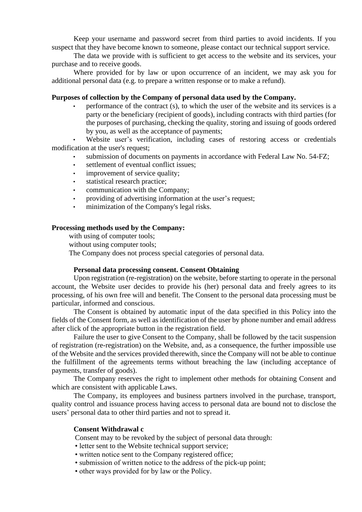Keep your username and password secret from third parties to avoid incidents. If you suspect that they have become known to someone, please contact our technical support service.

The data we provide with is sufficient to get access to the website and its services, your purchase and to receive goods.

Where provided for by law or upon occurrence of an incident, we may ask you for additional personal data (e.g. to prepare a written response or to make a refund).

### **Purposes of collection by the Company of personal data used by the Company.**

• performance of the contract (s), to which the user of the website and its services is a party or the beneficiary (recipient of goods), including contracts with third parties (for the purposes of purchasing, checking the quality, storing and issuing of goods ordered by you, as well as the acceptance of payments;

Website user's verification, including cases of restoring access or credentials modification at the user's request;

- submission of documents on payments in accordance with Federal Law No. 54-FZ;
- settlement of eventual conflict issues;
- improvement of service quality;
- statistical research practice;
- communication with the Company;
- providing of advertising information at the user's request;
- minimization of the Company's legal risks.

#### **Processing methods used by the Company:**

with using of computer tools;

without using computer tools;

The Company does not process special categories of personal data.

### **Personal data processing consent. Consent Obtaining**

Upon registration (re-registration) on the website, before starting to operate in the personal account, the Website user decides to provide his (her) personal data and freely agrees to its processing, of his own free will and benefit. The Consent to the personal data processing must be particular, informed and conscious.

The Consent is obtained by automatic input of the data specified in this Policy into the fields of the Consent form, as well as identification of the user by phone number and email address after click of the appropriate button in the registration field.

Failure the user to give Consent to the Company, shall be followed by the tacit suspension of registration (re-registration) on the Website, and, as a consequence, the further impossible use of the Website and the services provided therewith, since the Company will not be able to continue the fulfillment of the agreements terms without breaching the law (including acceptance of payments, transfer of goods).

The Company reserves the right to implement other methods for obtaining Consent and which are consistent with applicable Laws.

The Company, its employees and business partners involved in the purchase, transport, quality control and issuance process having access to personal data are bound not to disclose the users' personal data to other third parties and not to spread it.

# **Consent Withdrawal c**

Consent may to be revoked by the subject of personal data through:

- letter sent to the Website technical support service;
- written notice sent to the Company registered office;
- submission of written notice to the address of the pick-up point;
- other ways provided for by law or the Policy.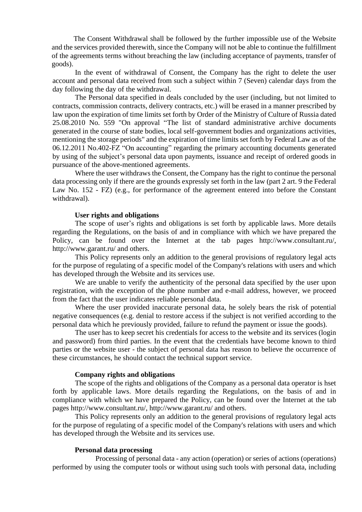The Consent Withdrawal shall be followed by the further impossible use of the Website and the services provided therewith, since the Company will not be able to continue the fulfillment of the agreements terms without breaching the law (including acceptance of payments, transfer of goods).

In the event of withdrawal of Consent, the Company has the right to delete the user account and personal data received from such a subject within 7 (Seven) calendar days from the day following the day of the withdrawal.

The Personal data specified in deals concluded by the user (including, but not limited to contracts, commission contracts, delivery contracts, etc.) will be erased in a manner prescribed by law upon the expiration of time limits set forth by Order of the Ministry of Culture of Russia dated 25.08.2010 No. 559 "On approval "The list of standard administrative archive documents generated in the course of state bodies, local self-government bodies and organizations activities, mentioning the storage periods" and the expiration of time limits set forth by Federal Law as of the 06.12.2011 No.402-FZ "On accounting" regarding the primary accounting documents generated by using of the subject's personal data upon payments, issuance and receipt of ordered goods in pursuance of the above-mentioned agreements.

Where the user withdraws the Consent, the Company has the right to continue the personal data processing only if there are the grounds expressly set forth in the law (part 2 art. 9 the Federal Law No. 152 - FZ) (e.g., for performance of the agreement entered into before the Constant withdrawal).

#### **User rights and obligations**

The scope of user's rights and obligations is set forth by applicable laws. More details regarding the Regulations, on the basis of and in compliance with which we have prepared the Policy, can be found over the Internet at the tab pages http://www.consultant.ru/, http://www.garant.ru/ and others.

This Policy represents only an addition to the general provisions of regulatory legal acts for the purpose of regulating of a specific model of the Company's relations with users and which has developed through the Website and its services use.

We are unable to verify the authenticity of the personal data specified by the user upon registration, with the exception of the phone number and e-mail address, however, we proceed from the fact that the user indicates reliable personal data.

Where the user provided inaccurate personal data, he solely bears the risk of potential negative consequences (e.g. denial to restore access if the subject is not verified according to the personal data which he previously provided, failure to refund the payment or issue the goods).

The user has to keep secret his credentials for access to the website and its services (login and password) from third parties. In the event that the credentials have become known to third parties or the website user - the subject of personal data has reason to believe the occurrence of these circumstances, he should contact the technical support service.

#### **Company rights and obligations**

The scope of the rights and obligations of the Company as a personal data operator is hset forth by applicable laws. More details regarding the Regulations, on the basis of and in compliance with which we have prepared the Policy, can be found over the Internet at the tab pages http://www.consultant.ru/, http://www.garant.ru/ and others.

This Policy represents only an addition to the general provisions of regulatory legal acts for the purpose of regulating of a specific model of the Company's relations with users and which has developed through the Website and its services use.

### **Personal data processing**

Processing of personal data - any action (operation) or series of actions (operations) performed by using the computer tools or without using such tools with personal data, including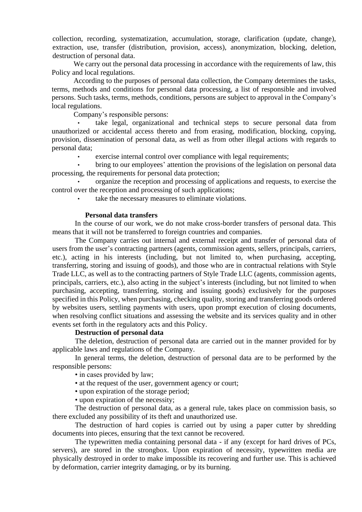collection, recording, systematization, accumulation, storage, clarification (update, change), extraction, use, transfer (distribution, provision, access), anonymization, blocking, deletion, destruction of personal data.

We carry out the personal data processing in accordance with the requirements of law, this Policy and local regulations.

According to the purposes of personal data collection, the Company determines the tasks, terms, methods and conditions for personal data processing, a list of responsible and involved persons. Such tasks, terms, methods, conditions, persons are subject to approval in the Company's local regulations.

Company's responsible persons:

take legal, organizational and technical steps to secure personal data from unauthorized or accidental access thereto and from erasing, modification, blocking, copying, provision, dissemination of personal data, as well as from other illegal actions with regards to personal data;

exercise internal control over compliance with legal requirements;

• bring to our employees' attention the provisions of the legislation on personal data processing, the requirements for personal data protection;

• organize the reception and processing of applications and requests, to exercise the control over the reception and processing of such applications;

take the necessary measures to eliminate violations.

### **Personal data transfers**

In the course of our work, we do not make cross-border transfers of personal data. This means that it will not be transferred to foreign countries and companies.

The Company carries out internal and external receipt and transfer of personal data of users from the user's contracting partners (agents, commission agents, sellers, principals, carriers, etc.), acting in his interests (including, but not limited to, when purchasing, accepting, transferring, storing and issuing of goods), and those who are in contractual relations with Style Trade LLC, as well as to the contracting partners of Style Trade LLC (agents, commission agents, principals, carriers, etc.), also acting in the subject's interests (including, but not limited to when purchasing, accepting, transferring, storing and issuing goods) exclusively for the purposes specified in this Policy, when purchasing, checking quality, storing and transferring goods ordered by websites users, settling payments with users, upon prompt execution of closing documents, when resolving conflict situations and assessing the website and its services quality and in other events set forth in the regulatory acts and this Policy.

# **Destruction of personal data**

The deletion, destruction of personal data are carried out in the manner provided for by applicable laws and regulations of the Company.

In general terms, the deletion, destruction of personal data are to be performed by the responsible persons:

- in cases provided by law;
- at the request of the user, government agency or court;
- upon expiration of the storage period;
- upon expiration of the necessity;

The destruction of personal data, as a general rule, takes place on commission basis, so there excluded any possibility of its theft and unauthorized use.

The destruction of hard copies is carried out by using a paper cutter by shredding documents into pieces, ensuring that the text cannot be recovered.

The typewritten media containing personal data - if any (except for hard drives of PCs, servers), are stored in the strongbox. Upon expiration of necessity, typewritten media are physically destroyed in order to make impossible its recovering and further use. This is achieved by deformation, carrier integrity damaging, or by its burning.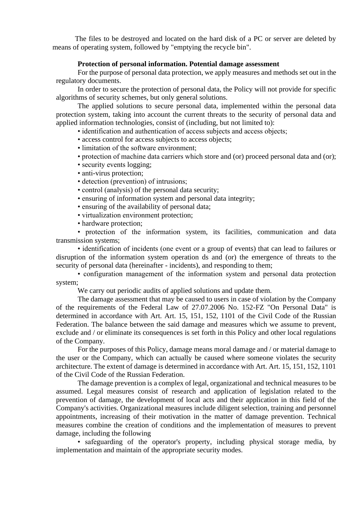The files to be destroyed and located on the hard disk of a PC or server are deleted by means of operating system, followed by "emptying the recycle bin".

### **Protection of personal information. Potential damage assessment**

For the purpose of personal data protection, we apply measures and methods set out in the regulatory documents.

In order to secure the protection of personal data, the Policy will not provide for specific algorithms of security schemes, but only general solutions.

The applied solutions to secure personal data, implemented within the personal data protection system, taking into account the current threats to the security of personal data and applied information technologies, consist of (including, but not limited to):

• identification and authentication of access subjects and access objects;

- access control for access subjects to access objects;
- limitation of the software environment;
- protection of machine data carriers which store and (or) proceed personal data and (or);
- security events logging;
- anti-virus protection;
- detection (prevention) of intrusions;
- control (analysis) of the personal data security;
- ensuring of information system and personal data integrity;
- ensuring of the availability of personal data;
- virtualization environment protection;
- hardware protection:

• protection of the information system, its facilities, communication and data transmission systems;

• identification of incidents (one event or a group of events) that can lead to failures or disruption of the information system operation ds and (or) the emergence of threats to the security of personal data (hereinafter - incidents), and responding to them;

• configuration management of the information system and personal data protection system;

We carry out periodic audits of applied solutions and update them.

The damage assessment that may be caused to users in case of violation by the Company of the requirements of the Federal Law of 27.07.2006 No. 152-FZ "On Personal Data" is determined in accordance with Art. Art. 15, 151, 152, 1101 of the Civil Code of the Russian Federation. The balance between the said damage and measures which we assume to prevent, exclude and / or eliminate its consequences is set forth in this Policy and other local regulations of the Company.

For the purposes of this Policy, damage means moral damage and / or material damage to the user or the Company, which can actually be caused where someone violates the security architecture. The extent of damage is determined in accordance with Art. Art. 15, 151, 152, 1101 of the Civil Code of the Russian Federation.

The damage prevention is a complex of legal, organizational and technical measures to be assumed. Legal measures consist of research and application of legislation related to the prevention of damage, the development of local acts and their application in this field of the Company's activities. Organizational measures include diligent selection, training and personnel appointments, increasing of their motivation in the matter of damage prevention. Technical measures combine the creation of conditions and the implementation of measures to prevent damage, including the following

• safeguarding of the operator's property, including physical storage media, by implementation and maintain of the appropriate security modes.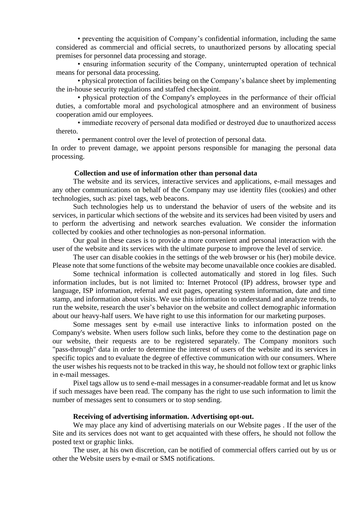• preventing the acquisition of Company's confidential information, including the same considered as commercial and official secrets, to unauthorized persons by allocating special premises for personnel data processing and storage.

• ensuring information security of the Company, uninterrupted operation of technical means for personal data processing.

• physical protection of facilities being on the Company's balance sheet by implementing the in-house security regulations and staffed checkpoint.

• physical protection of the Company's employees in the performance of their official duties, a comfortable moral and psychological atmosphere and an environment of business cooperation amid our employees.

• immediate recovery of personal data modified or destroyed due to unauthorized access thereto.

• permanent control over the level of protection of personal data.

In order to prevent damage, we appoint persons responsible for managing the personal data processing.

#### **Collection and use of information other than personal data**

The website and its services, interactive services and applications, e-mail messages and any other communications on behalf of the Company may use identity files (cookies) and other technologies, such as: pixel tags, web beacons.

Such technologies help us to understand the behavior of users of the website and its services, in particular which sections of the website and its services had been visited by users and to perform the advertising and network searches evaluation. We consider the information collected by cookies and other technologies as non-personal information.

Our goal in these cases is to provide a more convenient and personal interaction with the user of the website and its services with the ultimate purpose to improve the level of service.

The user can disable cookies in the settings of the web browser or his (her) mobile device. Please note that some functions of the website may become unavailable once cookies are disabled.

Some technical information is collected automatically and stored in log files. Such information includes, but is not limited to: Internet Protocol (IP) address, browser type and language, ISP information, referral and exit pages, operating system information, date and time stamp, and information about visits. We use this information to understand and analyze trends, to run the website, research the user's behavior on the website and collect demographic information about our heavy-half users. We have right to use this information for our marketing purposes.

Some messages sent by e-mail use interactive links to information posted on the Company's website. When users follow such links, before they come to the destination page on our website, their requests are to be registered separately. The Company monitors such "pass-through" data in order to determine the interest of users of the website and its services in specific topics and to evaluate the degree of effective communication with our consumers. Where the user wishes his requests not to be tracked in this way, he should not follow text or graphic links in e-mail messages.

Pixel tags allow us to send e-mail messages in a consumer-readable format and let us know if such messages have been read. The company has the right to use such information to limit the number of messages sent to consumers or to stop sending.

#### **Receiving of advertising information. Аdvertising opt-out.**

We may place any kind of advertising materials on our Website pages . If the user of the Site and its services does not want to get acquainted with these offers, he should not follow the posted text or graphic links.

The user, at his own discretion, can be notified of commercial offers carried out by us or other the Website users by e-mail or SMS notifications.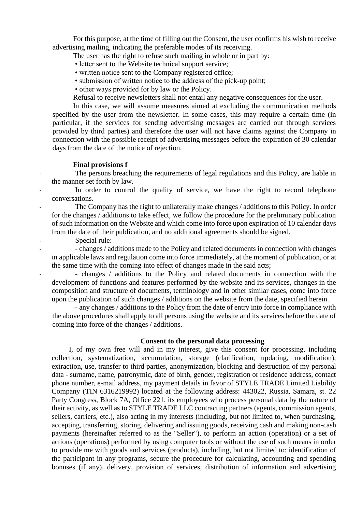For this purpose, at the time of filling out the Consent, the user confirms his wish to receive advertising mailing, indicating the preferable modes of its receiving.

The user has the right to refuse such mailing in whole or in part by:

- letter sent to the Website technical support service;
- written notice sent to the Company registered office;
- submission of written notice to the address of the pick-up point;
- other ways provided for by law or the Policy.

Refusal to receive newsletters shall not entail any negative consequences for the user.

In this case, we will assume measures aimed at excluding the communication methods specified by the user from the newsletter. In some cases, this may require a certain time (in particular, if the services for sending advertising messages are carried out through services provided by third parties) and therefore the user will not have claims against the Company in connection with the possible receipt of advertising messages before the expiration of 30 calendar days from the date of the notice of rejection.

#### **Final provisions f**

The persons breaching the requirements of legal regulations and this Policy, are liable in the manner set forth by law.

In order to control the quality of service, we have the right to record telephone conversations.

The Company has the right to unilaterally make changes / additions to this Policy. In order for the changes / additions to take effect, we follow the procedure for the preliminary publication of such information on the Website and which come into force upon expiration of 10 calendar days from the date of their publication, and no additional agreements should be signed.

Special rule:

- - changes / additions made to the Policy and related documents in connection with changes in applicable laws and regulation come into force immediately, at the moment of publication, or at the same time with the coming into effect of changes made in the said acts;

- changes / additions to the Policy and related documents in connection with the development of functions and features performed by the website and its services, changes in the composition and structure of documents, terminology and in other similar cases, come into force upon the publication of such changes / additions on the website from the date, specified herein.

-- any changes / additions to the Policy from the date of entry into force in compliance with the above procedures shall apply to all persons using the website and its services before the date of coming into force of the changes / additions.

#### **Consent to the personal data processing**

I, of my own free will and in my interest, give this consent for processing, including collection, systematization, accumulation, storage (clarification, updating, modification), extraction, use, transfer to third parties, anonymization, blocking and destruction of my personal data - surname, name, patronymic, date of birth, gender, registration or residence address, contact phone number, e-mail address, my payment details in favor of STYLE TRADE Limited Liability Company (TIN 6316219992) located at the following address: 443022, Russia, Samara, st. 22 Party Congress, Block 7A, Office 221, its employees who process personal data by the nature of their activity, as well as to STYLE TRADE LLC contracting partners (agents, commission agents, sellers, carriers, etc.), also acting in my interests (including, but not limited to, when purchasing, accepting, transferring, storing, delivering and issuing goods, receiving cash and making non-cash payments (hereinafter referred to as the "Seller"), to perform an action (operation) or a set of actions (operations) performed by using computer tools or without the use of such means in order to provide me with goods and services (products), including, but not limited to: identification of the participant in any programs, secure the procedure for calculating, accounting and spending bonuses (if any), delivery, provision of services, distribution of information and advertising